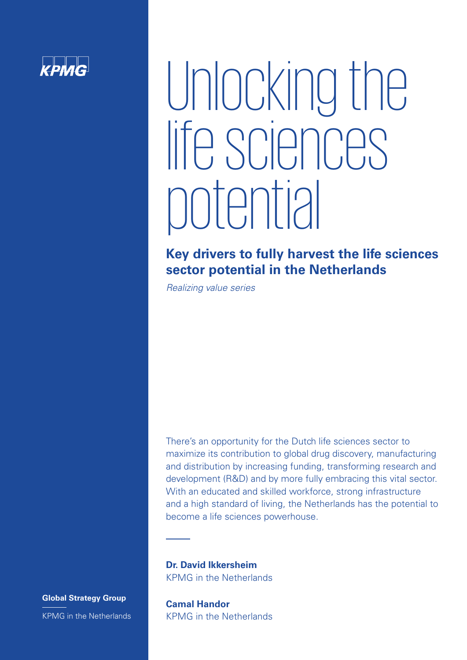

# Unlocking the life sciences potential

# **Key drivers to fully harvest the life sciences sector potential in the Netherlands**

*Realizing value series*

There's an opportunity for the Dutch life sciences sector to maximize its contribution to global drug discovery, manufacturing and distribution by increasing funding, transforming research and development (R&D) and by more fully embracing this vital sector. With an educated and skilled workforce, strong infrastructure and a high standard of living, the Netherlands has the potential to become a life sciences powerhouse.

**Dr. David Ikkersheim** KPMG in the Netherlands

**Global Strategy Group** KPMG in the Netherlands

**Camal Handor** KPMG in the Netherlands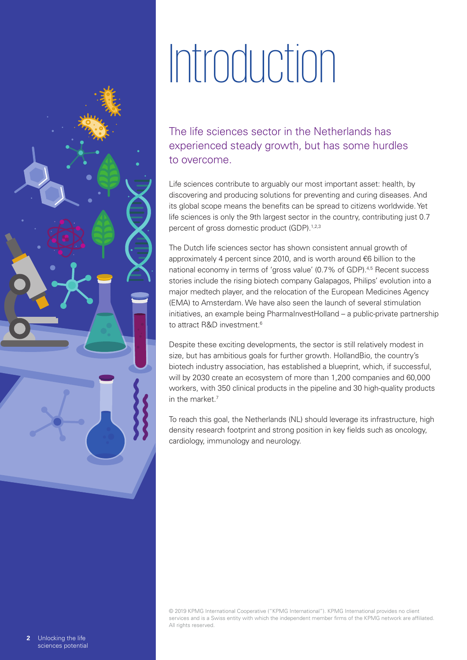# Introduction

The life sciences sector in the Netherlands has experienced steady growth, but has some hurdles to overcome.

Life sciences contribute to arguably our most important asset: health, by discovering and producing solutions for preventing and curing diseases. And its global scope means the benefits can be spread to citizens worldwide. Yet life sciences is only the 9th largest sector in the country, contributing just 0.7 percent of gross domestic product (GDP).<sup>1,2,3</sup>

The Dutch life sciences sector has shown consistent annual growth of approximately 4 percent since 2010, and is worth around €6 billion to the national economy in terms of 'gross value' (0.7% of GDP).<sup>4,5</sup> Recent success stories include the rising biotech company Galapagos, Philips' evolution into a major medtech player, and the relocation of the European Medicines Agency (EMA) to Amsterdam. We have also seen the launch of several stimulation initiatives, an example being PharmaInvestHolland – a public-private partnership to attract R&D investment.<sup>6</sup>

Despite these exciting developments, the sector is still relatively modest in size, but has ambitious goals for further growth. HollandBio, the country's biotech industry association, has established a blueprint, which, if successful, will by 2030 create an ecosystem of more than 1,200 companies and 60,000 workers, with 350 clinical products in the pipeline and 30 high-quality products in the market.<sup>7</sup>

To reach this goal, the Netherlands (NL) should leverage its infrastructure, high density research footprint and strong position in key fields such as oncology, cardiology, immunology and neurology.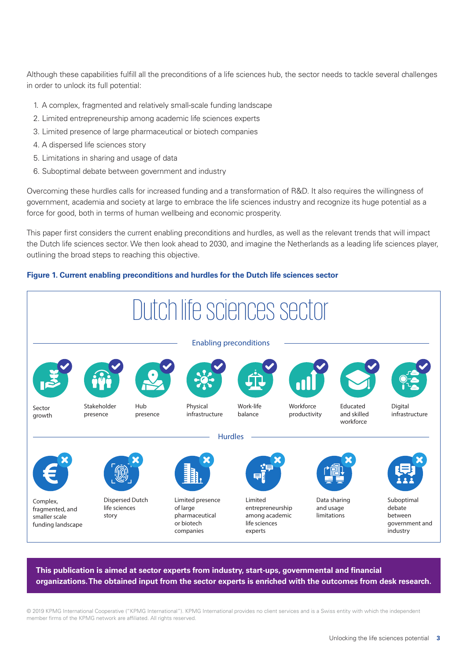Although these capabilities fulfill all the preconditions of a life sciences hub, the sector needs to tackle several challenges in order to unlock its full potential:

- 1. A complex, fragmented and relatively small-scale funding landscape
- 2. Limited entrepreneurship among academic life sciences experts
- 3. Limited presence of large pharmaceutical or biotech companies
- 4. A dispersed life sciences story
- 5. Limitations in sharing and usage of data
- 6. Suboptimal debate between government and industry

Overcoming these hurdles calls for increased funding and a transformation of R&D. It also requires the willingness of government, academia and society at large to embrace the life sciences industry and recognize its huge potential as a force for good, both in terms of human wellbeing and economic prosperity.

This paper first considers the current enabling preconditions and hurdles, as well as the relevant trends that will impact the Dutch life sciences sector. We then look ahead to 2030, and imagine the Netherlands as a leading life sciences player, outlining the broad steps to reaching this objective.

### **Figure 1. Current enabling preconditions and hurdles for the Dutch life sciences sector**



**This publication is aimed at sector experts from industry, start-ups, governmental and financial organizations. The obtained input from the sector experts is enriched with the outcomes from desk research.**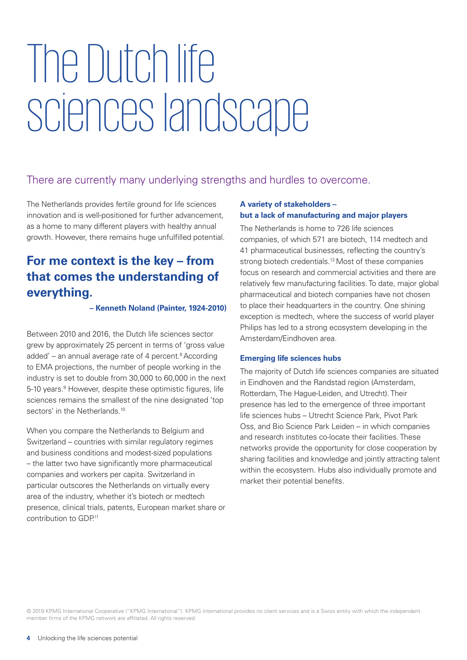# The Dutch life sciences landscape

# There are currently many underlying strengths and hurdles to overcome.

The Netherlands provides fertile ground for life sciences innovation and is well-positioned for further advancement, as a home to many different players with healthy annual growth. However, there remains huge unfulfilled potential.

# **For me context is the key – from that comes the understanding of everything.**

### **– Kenneth Noland (Painter, 1924-2010)**

Between 2010 and 2016, the Dutch life sciences sector grew by approximately 25 percent in terms of 'gross value added' – an annual average rate of 4 percent. $8$  According to EMA projections, the number of people working in the industry is set to double from 30,000 to 60,000 in the next 5-10 years.<sup>9</sup> However, despite these optimistic figures, life sciences remains the smallest of the nine designated 'top sectors' in the Netherlands.<sup>10</sup>

When you compare the Netherlands to Belgium and Switzerland – countries with similar regulatory regimes and business conditions and modest-sized populations – the latter two have significantly more pharmaceutical companies and workers per capita. Switzerland in particular outscores the Netherlands on virtually every area of the industry, whether it's biotech or medtech presence, clinical trials, patents, European market share or contribution to GDP<sup>11</sup>

# **A variety of stakeholders – but a lack of manufacturing and major players**

The Netherlands is home to 726 life sciences companies, of which 571 are biotech, 114 medtech and 41 pharmaceutical businesses, reflecting the country's strong biotech credentials.<sup>12</sup> Most of these companies focus on research and commercial activities and there are relatively few manufacturing facilities. To date, major global pharmaceutical and biotech companies have not chosen to place their headquarters in the country. One shining exception is medtech, where the success of world player Philips has led to a strong ecosystem developing in the Amsterdam/Eindhoven area.

## **Emerging life sciences hubs**

The majority of Dutch life sciences companies are situated in Eindhoven and the Randstad region (Amsterdam, Rotterdam, The Hague-Leiden, and Utrecht). Their presence has led to the emergence of three important life sciences hubs – Utrecht Science Park, Pivot Park Oss, and Bio Science Park Leiden – in which companies and research institutes co-locate their facilities. These networks provide the opportunity for close cooperation by sharing facilities and knowledge and jointly attracting talent within the ecosystem. Hubs also individually promote and market their potential benefits.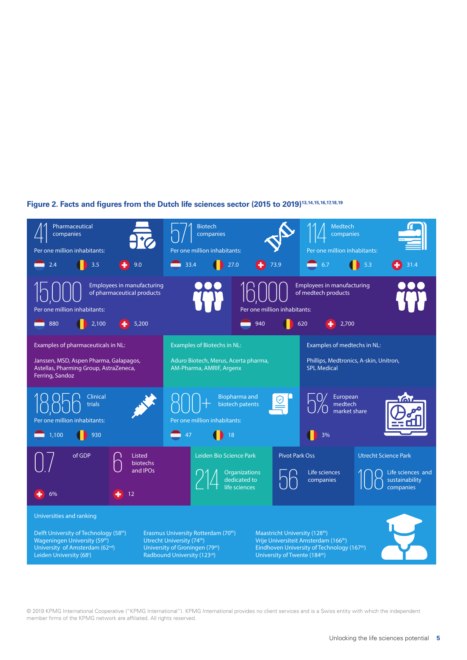# **Figure 2. Facts and figures from the Dutch life sciences sector (2015 to 2019)13,14,15,16,17,18,19**

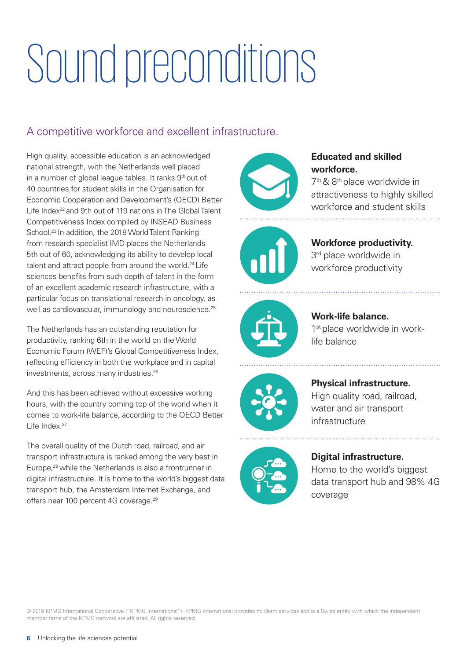# Sound preconditions

# A competitive workforce and excellent infrastructure.

High quality, accessible education is an acknowledged national strength, with the Netherlands well placed in a number of global league tables. It ranks 9<sup>th</sup> out of 40 countries for student skills in the Organisation for Economic Cooperation and Development's (OECD) Better Life Index<sup>22</sup> and 9th out of 119 nations in The Global Talent Competitiveness Index compiled by INSEAD Business School.<sup>23</sup> In addition, the 2018 World Talent Ranking from research specialist IMD places the Netherlands 5th out of 60, acknowledging its ability to develop local talent and attract people from around the world.<sup>24</sup> Life sciences benefits from such depth of talent in the form of an excellent academic research infrastructure, with a particular focus on translational research in oncology, as well as cardiovascular, immunology and neuroscience.<sup>25</sup>

The Netherlands has an outstanding reputation for productivity, ranking 6th in the world on the World Economic Forum (WEF)'s Global Competitiveness Index, reflecting efficiency in both the workplace and in capital investments, across many industries.26

And this has been achieved without excessive working hours, with the country coming top of the world when it comes to work-life balance, according to the OECD Better Life Index.27

The overall quality of the Dutch road, railroad, and air transport infrastructure is ranked among the very best in Europe,28 while the Netherlands is also a frontrunner in digital infrastructure. It is home to the world's biggest data transport hub, the Amsterdam Internet Exchange, and offers near 100 percent 4G coverage.29



# **Educated and skilled workforce.**

7th & 8th place worldwide in attractiveness to highly skilled workforce and student skills



**Workforce productivity.** 3<sup>rd</sup> place worldwide in workforce productivity



**Work-life balance.** 1<sup>st</sup> place worldwide in worklife balance



**Physical infrastructure.** High quality road, railroad, water and air transport infrastructure



# **Digital infrastructure.** Home to the world's biggest data transport hub and 98% 4G

coverage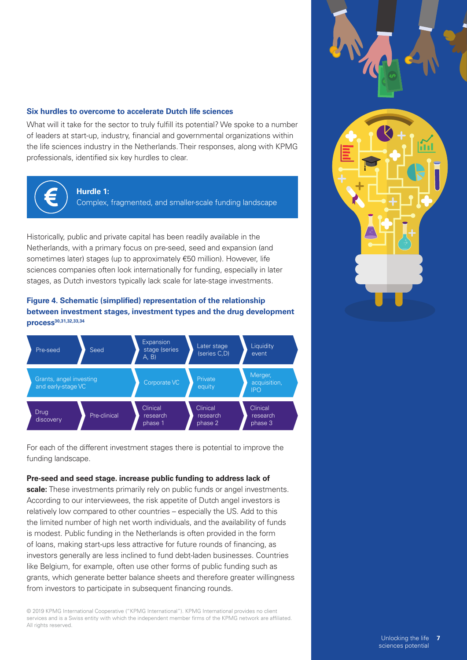### **Six hurdles to overcome to accelerate Dutch life sciences**

What will it take for the sector to truly fulfill its potential? We spoke to a number of leaders at start-up, industry, financial and governmental organizations within the life sciences industry in the Netherlands. Their responses, along with KPMG professionals, identified six key hurdles to clear.



#### **Hurdle 1:**

Complex, fragmented, and smaller-scale funding landscape

Historically, public and private capital has been readily available in the Netherlands, with a primary focus on pre-seed, seed and expansion (and sometimes later) stages (up to approximately €50 million). However, life sciences companies often look internationally for funding, especially in later stages, as Dutch investors typically lack scale for late-stage investments.

# **Figure 4. Schematic (simplified) representation of the relationship between investment stages, investment types and the drug development process30,31,32,33,34**



For each of the different investment stages there is potential to improve the funding landscape.

#### **Pre-seed and seed stage. increase public funding to address lack of**

**scale:** These investments primarily rely on public funds or angel investments. According to our interviewees, the risk appetite of Dutch angel investors is relatively low compared to other countries – especially the US. Add to this the limited number of high net worth individuals, and the availability of funds is modest. Public funding in the Netherlands is often provided in the form of loans, making start-ups less attractive for future rounds of financing, as investors generally are less inclined to fund debt-laden businesses. Countries like Belgium, for example, often use other forms of public funding such as grants, which generate better balance sheets and therefore greater willingness from investors to participate in subsequent financing rounds.

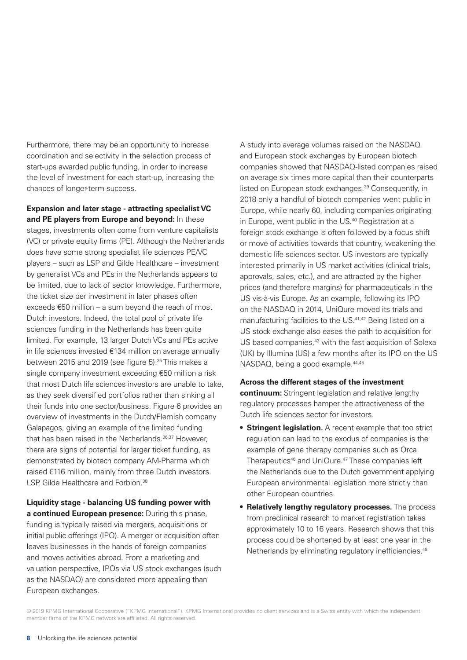Furthermore, there may be an opportunity to increase coordination and selectivity in the selection process of start-ups awarded public funding, in order to increase the level of investment for each start-up, increasing the chances of longer-term success.

**Expansion and later stage - attracting specialist VC and PE players from Europe and beyond:** In these stages, investments often come from venture capitalists (VC) or private equity firms (PE). Although the Netherlands does have some strong specialist life sciences PE/VC players – such as LSP and Gilde Healthcare – investment by generalist VCs and PEs in the Netherlands appears to be limited, due to lack of sector knowledge. Furthermore, the ticket size per investment in later phases often exceeds €50 million – a sum beyond the reach of most Dutch investors. Indeed, the total pool of private life sciences funding in the Netherlands has been quite limited. For example, 13 larger Dutch VCs and PEs active in life sciences invested €134 million on average annually between 2015 and 2019 (see figure 5).<sup>35</sup> This makes a single company investment exceeding €50 million a risk that most Dutch life sciences investors are unable to take, as they seek diversified portfolios rather than sinking all their funds into one sector/business. Figure 6 provides an overview of investments in the Dutch/Flemish company Galapagos, giving an example of the limited funding that has been raised in the Netherlands.<sup>36,37</sup> However, there are signs of potential for larger ticket funding, as demonstrated by biotech company AM-Pharma which raised €116 million, mainly from three Dutch investors. LSP, Gilde Healthcare and Forbion.<sup>38</sup>

**Liquidity stage - balancing US funding power with a continued European presence:** During this phase, funding is typically raised via mergers, acquisitions or initial public offerings (IPO). A merger or acquisition often leaves businesses in the hands of foreign companies and moves activities abroad. From a marketing and valuation perspective, IPOs via US stock exchanges (such as the NASDAQ) are considered more appealing than European exchanges.

A study into average volumes raised on the NASDAQ and European stock exchanges by European biotech companies showed that NASDAQ-listed companies raised on average six times more capital than their counterparts listed on European stock exchanges.39 Consequently, in 2018 only a handful of biotech companies went public in Europe, while nearly 60, including companies originating in Europe, went public in the US.40 Registration at a foreign stock exchange is often followed by a focus shift or move of activities towards that country, weakening the domestic life sciences sector. US investors are typically interested primarily in US market activities (clinical trials, approvals, sales, etc.), and are attracted by the higher prices (and therefore margins) for pharmaceuticals in the US vis-à-vis Europe. As an example, following its IPO on the NASDAQ in 2014, UniQure moved its trials and manufacturing facilities to the US.41,42 Being listed on a US stock exchange also eases the path to acquisition for US based companies,<sup>43</sup> with the fast acquisition of Solexa (UK) by Illumina (US) a few months after its IPO on the US NASDAQ, being a good example.<sup>44,45</sup>

#### **Across the different stages of the investment**

**continuum:** Stringent legislation and relative lengthy regulatory processes hamper the attractiveness of the Dutch life sciences sector for investors.

- **• Stringent legislation.** A recent example that too strict regulation can lead to the exodus of companies is the example of gene therapy companies such as Orca Therapeutics<sup>46</sup> and UniQure.<sup>47</sup> These companies left the Netherlands due to the Dutch government applying European environmental legislation more strictly than other European countries.
- **• Relatively lengthy regulatory processes.** The process from preclinical research to market registration takes approximately 10 to 16 years. Research shows that this process could be shortened by at least one year in the Netherlands by eliminating regulatory inefficiencies.<sup>48</sup>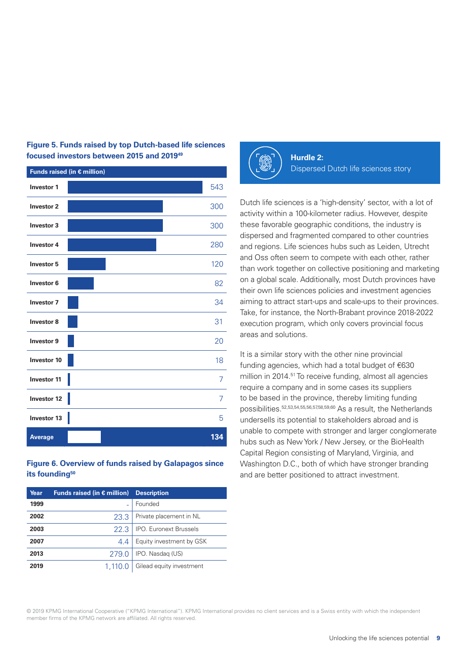| Funds raised (in $\epsilon$ million) |     |
|--------------------------------------|-----|
| <b>Investor 1</b>                    | 543 |
| <b>Investor 2</b>                    | 300 |
| <b>Investor 3</b>                    | 300 |
| <b>Investor 4</b>                    | 280 |
| Investor 5                           | 120 |
| Investor 6                           | 82  |
| <b>Investor 7</b>                    | 34  |
| Investor 8                           | 31  |
| Investor 9                           | 20  |
| <b>Investor 10</b>                   | 18  |
| <b>Investor 11</b>                   | 7   |
| Investor 12                          | 7   |
| Investor 13                          | 5   |
| <b>Average</b>                       | 134 |

# **Figure 5. Funds raised by top Dutch-based life sciences focused investors between 2015 and 201949**

# **Figure 6. Overview of funds raised by Galapagos since its founding50**

| Year | Funds raised (in $\epsilon$ million) | <b>Description</b>            |
|------|--------------------------------------|-------------------------------|
| 1999 |                                      | Founded                       |
| 2002 | 23.3                                 | Private placement in NL       |
| 2003 | 22.3                                 | <b>IPO.</b> Euronext Brussels |
| 2007 | 4.4                                  | Equity investment by GSK      |
| 2013 | 279.0                                | IPO. Nasdag (US)              |
| 2019 | 1.110.0                              | Gilead equity investment      |
|      |                                      |                               |



**Hurdle 2:** Dispersed Dutch life sciences story

Dutch life sciences is a 'high-density' sector, with a lot of activity within a 100-kilometer radius. However, despite these favorable geographic conditions, the industry is dispersed and fragmented compared to other countries and regions. Life sciences hubs such as Leiden, Utrecht and Oss often seem to compete with each other, rather than work together on collective positioning and marketing on a global scale. Additionally, most Dutch provinces have their own life sciences policies and investment agencies aiming to attract start-ups and scale-ups to their provinces. Take, for instance, the North-Brabant province 2018-2022 execution program, which only covers provincial focus areas and solutions.

It is a similar story with the other nine provincial funding agencies, which had a total budget of €630 million in 2014.51 To receive funding, almost all agencies require a company and in some cases its suppliers to be based in the province, thereby limiting funding possibilities.52,53,54,55,56,57,58,59,60 As a result, the Netherlands undersells its potential to stakeholders abroad and is unable to compete with stronger and larger conglomerate hubs such as New York / New Jersey, or the BioHealth Capital Region consisting of Maryland, Virginia, and Washington D.C., both of which have stronger branding and are better positioned to attract investment.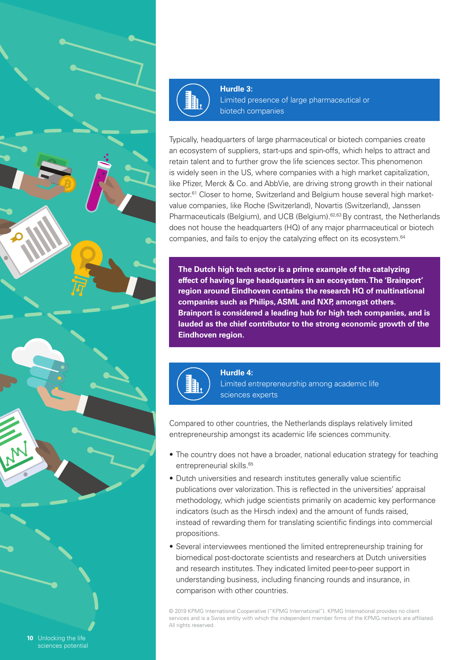



**Hurdle 3:** Limited presence of large pharmaceutical or biotech companies

Typically, headquarters of large pharmaceutical or biotech companies create an ecosystem of suppliers, start-ups and spin-offs, which helps to attract and retain talent and to further grow the life sciences sector. This phenomenon is widely seen in the US, where companies with a high market capitalization, like Pfizer, Merck & Co. and AbbVie, are driving strong growth in their national sector.<sup>61</sup> Closer to home, Switzerland and Belgium house several high marketvalue companies, like Roche (Switzerland), Novartis (Switzerland), Janssen Pharmaceuticals (Belgium), and UCB (Belgium).<sup>62,63</sup> By contrast, the Netherlands does not house the headquarters (HQ) of any major pharmaceutical or biotech companies, and fails to enjoy the catalyzing effect on its ecosystem.<sup>64</sup>

**The Dutch high tech sector is a prime example of the catalyzing effect of having large headquarters in an ecosystem. The 'Brainport' region around Eindhoven contains the research HQ of multinational companies such as Philips, ASML and NXP, amongst others. Brainport is considered a leading hub for high tech companies, and is lauded as the chief contributor to the strong economic growth of the Eindhoven region.**



**Hurdle 4:** Limited entrepreneurship among academic life sciences experts

Compared to other countries, the Netherlands displays relatively limited entrepreneurship amongst its academic life sciences community.

- The country does not have a broader, national education strategy for teaching entrepreneurial skills.<sup>65</sup>
- Dutch universities and research institutes generally value scientific publications over valorization. This is reflected in the universities' appraisal methodology, which judge scientists primarily on academic key performance indicators (such as the Hirsch index) and the amount of funds raised, instead of rewarding them for translating scientific findings into commercial propositions.
- Several interviewees mentioned the limited entrepreneurship training for biomedical post-doctorate scientists and researchers at Dutch universities and research institutes. They indicated limited peer-to-peer support in understanding business, including financing rounds and insurance, in comparison with other countries.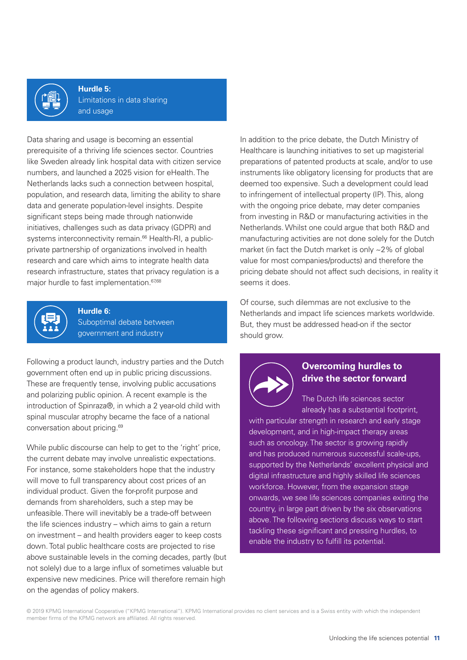

**Hurdle 5:** Limitations in data sharing and usage

Data sharing and usage is becoming an essential prerequisite of a thriving life sciences sector. Countries like Sweden already link hospital data with citizen service numbers, and launched a 2025 vision for eHealth. The Netherlands lacks such a connection between hospital, population, and research data, limiting the ability to share data and generate population-level insights. Despite significant steps being made through nationwide initiatives, challenges such as data privacy (GDPR) and systems interconnectivity remain.<sup>66</sup> Health-RI, a publicprivate partnership of organizations involved in health research and care which aims to integrate health data research infrastructure, states that privacy regulation is a major hurdle to fast implementation.<sup>67,68</sup>



# **Hurdle 6:**

Suboptimal debate between government and industry

Following a product launch, industry parties and the Dutch government often end up in public pricing discussions. These are frequently tense, involving public accusations and polarizing public opinion. A recent example is the introduction of Spinraza®, in which a 2 year-old child with spinal muscular atrophy became the face of a national conversation about pricing.69

While public discourse can help to get to the 'right' price, the current debate may involve unrealistic expectations. For instance, some stakeholders hope that the industry will move to full transparency about cost prices of an individual product. Given the for-profit purpose and demands from shareholders, such a step may be unfeasible. There will inevitably be a trade-off between the life sciences industry – which aims to gain a return on investment – and health providers eager to keep costs down. Total public healthcare costs are projected to rise above sustainable levels in the coming decades, partly (but not solely) due to a large influx of sometimes valuable but expensive new medicines. Price will therefore remain high on the agendas of policy makers.

In addition to the price debate, the Dutch Ministry of Healthcare is launching initiatives to set up magisterial preparations of patented products at scale, and/or to use instruments like obligatory licensing for products that are deemed too expensive. Such a development could lead to infringement of intellectual property (IP). This, along with the ongoing price debate, may deter companies from investing in R&D or manufacturing activities in the Netherlands. Whilst one could argue that both R&D and manufacturing activities are not done solely for the Dutch market (in fact the Dutch market is only ~2% of global value for most companies/products) and therefore the pricing debate should not affect such decisions, in reality it seems it does.

Of course, such dilemmas are not exclusive to the Netherlands and impact life sciences markets worldwide. But, they must be addressed head-on if the sector should grow.



# **Overcoming hurdles to drive the sector forward**

The Dutch life sciences sector already has a substantial footprint,

with particular strength in research and early stage development, and in high-impact therapy areas such as oncology. The sector is growing rapidly and has produced numerous successful scale-ups, supported by the Netherlands' excellent physical and digital infrastructure and highly skilled life sciences workforce. However, from the expansion stage onwards, we see life sciences companies exiting the country, in large part driven by the six observations above. The following sections discuss ways to start tackling these significant and pressing hurdles, to enable the industry to fulfill its potential.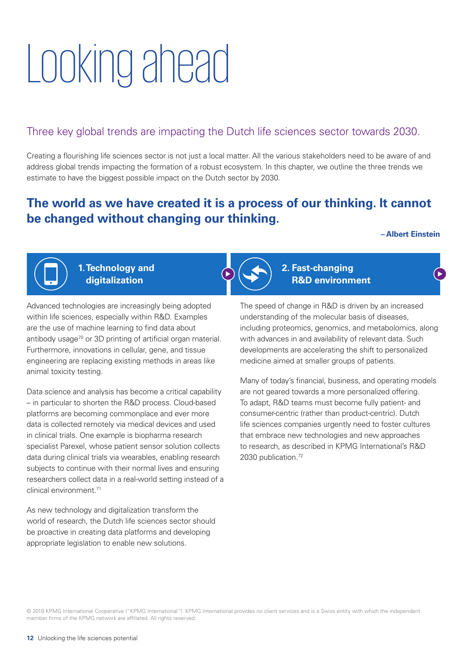# Looking ahead

# Three key global trends are impacting the Dutch life sciences sector towards 2030.

Creating a flourishing life sciences sector is not just a local matter. All the various stakeholders need to be aware of and address global trends impacting the formation of a robust ecosystem. In this chapter, we outline the three trends we estimate to have the biggest possible impact on the Dutch sector by 2030.

# **The world as we have created it is a process of our thinking. It cannot be changed without changing our thinking.**

### **– Albert Einstein**

∫▶



**1. Technology and digitalization**

Advanced technologies are increasingly being adopted within life sciences, especially within R&D. Examples are the use of machine learning to find data about antibody usage<sup>70</sup> or 3D printing of artificial organ material. Furthermore, innovations in cellular, gene, and tissue engineering are replacing existing methods in areas like animal toxicity testing.

Data science and analysis has become a critical capability – in particular to shorten the R&D process. Cloud-based platforms are becoming commonplace and ever more data is collected remotely via medical devices and used in clinical trials. One example is biopharma research specialist Parexel, whose patient sensor solution collects data during clinical trials via wearables, enabling research subjects to continue with their normal lives and ensuring researchers collect data in a real-world setting instead of a clinical environment.71

As new technology and digitalization transform the world of research, the Dutch life sciences sector should be proactive in creating data platforms and developing appropriate legislation to enable new solutions.



**2. Fast-changing R&D environment**

The speed of change in R&D is driven by an increased understanding of the molecular basis of diseases, including proteomics, genomics, and metabolomics, along with advances in and availability of relevant data. Such developments are accelerating the shift to personalized medicine aimed at smaller groups of patients.

Many of today's financial, business, and operating models are not geared towards a more personalized offering. To adapt, R&D teams must become fully patient- and consumer-centric (rather than product-centric). Dutch life sciences companies urgently need to foster cultures that embrace new technologies and new approaches to research, as described in KPMG International's R&D 2030 publication.<sup>72</sup>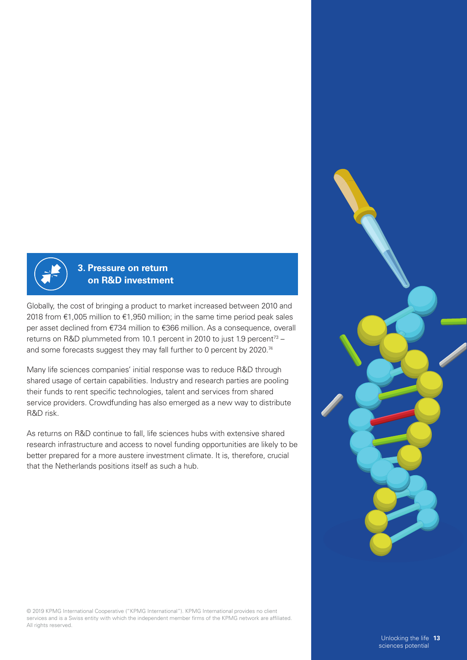

# **3. Pressure on return on R&D investment**

Globally, the cost of bringing a product to market increased between 2010 and 2018 from €1,005 million to €1,950 million; in the same time period peak sales per asset declined from €734 million to €366 million. As a consequence, overall returns on R&D plummeted from 10.1 percent in 2010 to just 1.9 percent<sup>73</sup> – and some forecasts suggest they may fall further to 0 percent by 2020.<sup>74</sup>

Many life sciences companies' initial response was to reduce R&D through shared usage of certain capabilities. Industry and research parties are pooling their funds to rent specific technologies, talent and services from shared service providers. Crowdfunding has also emerged as a new way to distribute R&D risk.

As returns on R&D continue to fall, life sciences hubs with extensive shared research infrastructure and access to novel funding opportunities are likely to be better prepared for a more austere investment climate. It is, therefore, crucial that the Netherlands positions itself as such a hub.

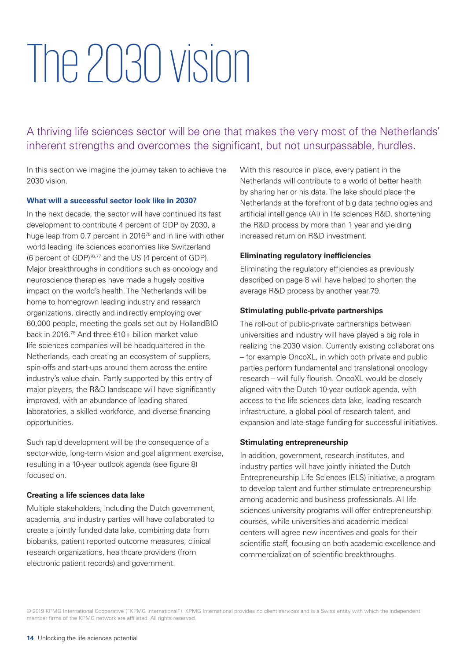# The 2030 vision

A thriving life sciences sector will be one that makes the very most of the Netherlands' inherent strengths and overcomes the significant, but not unsurpassable, hurdles.

In this section we imagine the journey taken to achieve the 2030 vision.

## **What will a successful sector look like in 2030?**

In the next decade, the sector will have continued its fast development to contribute 4 percent of GDP by 2030, a huge leap from 0.7 percent in 2016<sup>75</sup> and in line with other world leading life sciences economies like Switzerland (6 percent of GDP)76,77 and the US (4 percent of GDP). Major breakthroughs in conditions such as oncology and neuroscience therapies have made a hugely positive impact on the world's health. The Netherlands will be home to homegrown leading industry and research organizations, directly and indirectly employing over 60,000 people, meeting the goals set out by HollandBIO back in 2016.78 And three €10+ billion market value life sciences companies will be headquartered in the Netherlands, each creating an ecosystem of suppliers, spin-offs and start-ups around them across the entire industry's value chain. Partly supported by this entry of major players, the R&D landscape will have significantly improved, with an abundance of leading shared laboratories, a skilled workforce, and diverse financing opportunities.

Such rapid development will be the consequence of a sector-wide, long-term vision and goal alignment exercise, resulting in a 10-year outlook agenda (see figure 8) focused on.

## **Creating a life sciences data lake**

Multiple stakeholders, including the Dutch government, academia, and industry parties will have collaborated to create a jointly funded data lake, combining data from biobanks, patient reported outcome measures, clinical research organizations, healthcare providers (from electronic patient records) and government.

With this resource in place, every patient in the Netherlands will contribute to a world of better health by sharing her or his data. The lake should place the Netherlands at the forefront of big data technologies and artificial intelligence (AI) in life sciences R&D, shortening the R&D process by more than 1 year and yielding increased return on R&D investment.

### **Eliminating regulatory inefficiencies**

Eliminating the regulatory efficiencies as previously described on page 8 will have helped to shorten the average R&D process by another year.79.

### **Stimulating public-private partnerships**

The roll-out of public-private partnerships between universities and industry will have played a big role in realizing the 2030 vision. Currently existing collaborations – for example OncoXL, in which both private and public parties perform fundamental and translational oncology research – will fully flourish. OncoXL would be closely aligned with the Dutch 10-year outlook agenda, with access to the life sciences data lake, leading research infrastructure, a global pool of research talent, and expansion and late-stage funding for successful initiatives.

#### **Stimulating entrepreneurship**

In addition, government, research institutes, and industry parties will have jointly initiated the Dutch Entrepreneurship Life Sciences (ELS) initiative, a program to develop talent and further stimulate entrepreneurship among academic and business professionals. All life sciences university programs will offer entrepreneurship courses, while universities and academic medical centers will agree new incentives and goals for their scientific staff, focusing on both academic excellence and commercialization of scientific breakthroughs.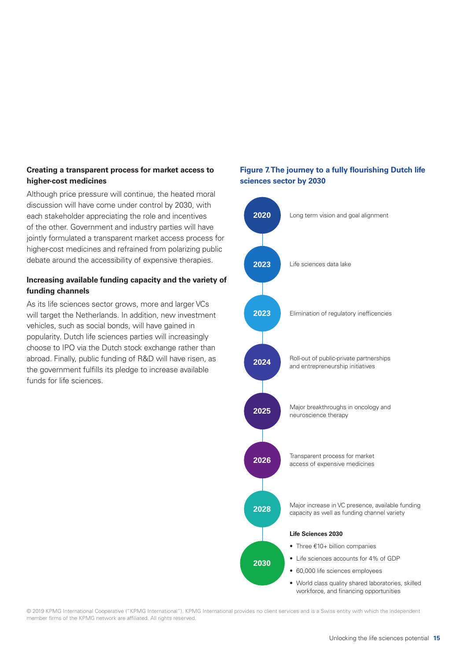# **Creating a transparent process for market access to higher-cost medicines**

Although price pressure will continue, the heated moral discussion will have come under control by 2030, with each stakeholder appreciating the role and incentives of the other. Government and industry parties will have jointly formulated a transparent market access process for higher-cost medicines and refrained from polarizing public debate around the accessibility of expensive therapies.

# **Increasing available funding capacity and the variety of funding channels**

As its life sciences sector grows, more and larger VCs will target the Netherlands. In addition, new investment vehicles, such as social bonds, will have gained in popularity. Dutch life sciences parties will increasingly choose to IPO via the Dutch stock exchange rather than abroad. Finally, public funding of R&D will have risen, as the government fulfills its pledge to increase available funds for life sciences.

# **Figure 7. The journey to a fully flourishing Dutch life sciences sector by 2030**

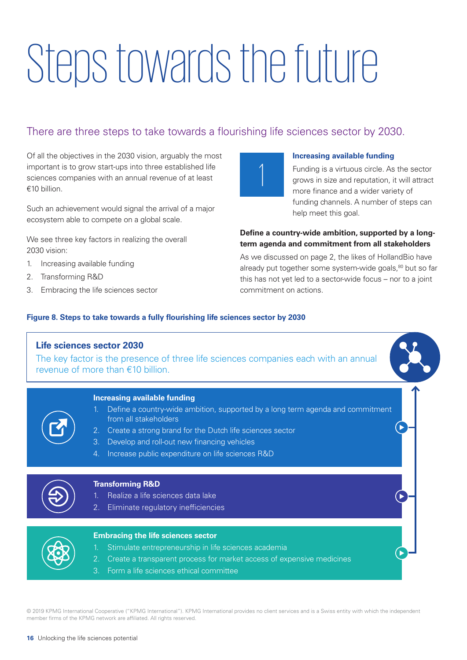# Steps towards the future

# There are three steps to take towards a flourishing life sciences sector by 2030.

Of all the objectives in the 2030 vision, arguably the most important is to grow start-ups into three established life sciences companies with an annual revenue of at least €10 billion.

Such an achievement would signal the arrival of a major ecosystem able to compete on a global scale.

We see three key factors in realizing the overall 2030 vision:

- 1. Increasing available funding
- 2. Transforming R&D
- 3. Embracing the life sciences sector



## **Increasing available funding**

Funding is a virtuous circle. As the sector grows in size and reputation, it will attract more finance and a wider variety of funding channels. A number of steps can help meet this goal.

# **Define a country-wide ambition, supported by a longterm agenda and commitment from all stakeholders**

As we discussed on page 2, the likes of HollandBio have already put together some system-wide goals,<sup>80</sup> but so far this has not yet led to a sector-wide focus – nor to a joint commitment on actions.

# **Figure 8. Steps to take towards a fully flourishing life sciences sector by 2030**

| <b>Life sciences sector 2030</b><br>The key factor is the presence of three life sciences companies each with an annual<br>revenue of more than $€10$ billion.                                                                                                                                                               |
|------------------------------------------------------------------------------------------------------------------------------------------------------------------------------------------------------------------------------------------------------------------------------------------------------------------------------|
| <b>Increasing available funding</b><br>Define a country-wide ambition, supported by a long term agenda and commitment<br>from all stakeholders<br>2. Create a strong brand for the Dutch life sciences sector<br>3.<br>Develop and roll-out new financing vehicles<br>Increase public expenditure on life sciences R&D<br>4. |
| <b>Transforming R&amp;D</b><br>Realize a life sciences data lake<br>Eliminate regulatory inefficiencies<br>2 <sub>1</sub>                                                                                                                                                                                                    |
| <b>Embracing the life sciences sector</b><br>Stimulate entrepreneurship in life sciences academia<br>Create a transparent process for market access of expensive medicines<br>2.<br>Form a life sciences ethical committee<br>3.                                                                                             |
|                                                                                                                                                                                                                                                                                                                              |

member firms of the KPMG network are affiliated. All rights reserved.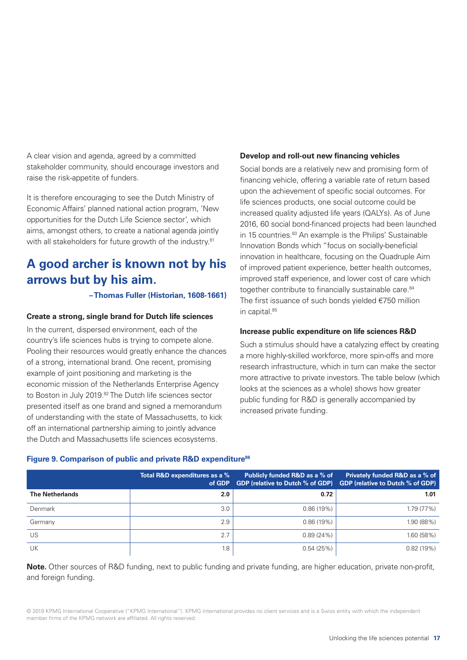A clear vision and agenda, agreed by a committed stakeholder community, should encourage investors and raise the risk-appetite of funders.

It is therefore encouraging to see the Dutch Ministry of Economic Affairs' planned national action program, 'New opportunities for the Dutch Life Science sector', which aims, amongst others, to create a national agenda jointly with all stakeholders for future growth of the industry.<sup>81</sup>

# **A good archer is known not by his arrows but by his aim.**

## **– Thomas Fuller (Historian, 1608-1661)**

## **Create a strong, single brand for Dutch life sciences**

In the current, dispersed environment, each of the country's life sciences hubs is trying to compete alone. Pooling their resources would greatly enhance the chances of a strong, international brand. One recent, promising example of joint positioning and marketing is the economic mission of the Netherlands Enterprise Agency to Boston in July 2019.<sup>82</sup> The Dutch life sciences sector presented itself as one brand and signed a memorandum of understanding with the state of Massachusetts, to kick off an international partnership aiming to jointly advance the Dutch and Massachusetts life sciences ecosystems.

## **Develop and roll-out new financing vehicles**

Social bonds are a relatively new and promising form of financing vehicle, offering a variable rate of return based upon the achievement of specific social outcomes. For life sciences products, one social outcome could be increased quality adjusted life years (QALYs). As of June 2016, 60 social bond-financed projects had been launched in 15 countries.<sup>83</sup> An example is the Philips' Sustainable Innovation Bonds which "focus on socially-beneficial innovation in healthcare, focusing on the Quadruple Aim of improved patient experience, better health outcomes, improved staff experience, and lower cost of care which together contribute to financially sustainable care.<sup>84</sup> The first issuance of such bonds yielded €750 million in capital.<sup>85</sup>

### **Increase public expenditure on life sciences R&D**

Such a stimulus should have a catalyzing effect by creating a more highly-skilled workforce, more spin-offs and more research infrastructure, which in turn can make the sector more attractive to private investors. The table below (which looks at the sciences as a whole) shows how greater public funding for R&D is generally accompanied by increased private funding.

## Figure 9. Comparison of public and private R&D expenditure<sup>86</sup>

|                        | Total R&D expenditures as a %<br>of GDP | Publicly funded R&D as a % of<br><b>GDP (relative to Dutch % of GDP)</b> | <b>Privately funded R&amp;D as a % of</b><br><b>GDP (relative to Dutch % of GDP)</b> |
|------------------------|-----------------------------------------|--------------------------------------------------------------------------|--------------------------------------------------------------------------------------|
| <b>The Netherlands</b> | 2.0                                     | 0.72                                                                     | 1.01                                                                                 |
| Denmark                | 3.0                                     | 0.86(19%)                                                                | 1.79 (77%)                                                                           |
| Germany                | 2.9                                     | 0.86(19%)                                                                | 1.90 (88%)                                                                           |
| US                     | 2.7                                     | 0.89(24%)                                                                | 1.60(58%)                                                                            |
| UK                     | 1.8                                     | 0.54(25%)                                                                | 0.82(19%)                                                                            |

**Note.** Other sources of R&D funding, next to public funding and private funding, are higher education, private non-profit, and foreign funding.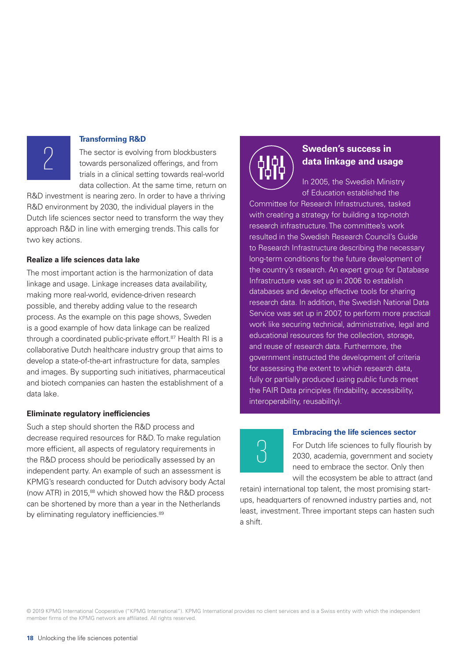#### **Transforming R&D**

The sector is evolving from blockbusters towards personalized offerings, and from trials in a clinical setting towards real-world data collection. At the same time, return on

R&D investment is nearing zero. In order to have a thriving R&D environment by 2030, the individual players in the Dutch life sciences sector need to transform the way they approach R&D in line with emerging trends. This calls for two key actions.

#### **Realize a life sciences data lake**

2

The most important action is the harmonization of data linkage and usage. Linkage increases data availability, making more real-world, evidence-driven research possible, and thereby adding value to the research process. As the example on this page shows, Sweden is a good example of how data linkage can be realized through a coordinated public-private effort.<sup>87</sup> Health RI is a collaborative Dutch healthcare industry group that aims to develop a state-of-the-art infrastructure for data, samples and images. By supporting such initiatives, pharmaceutical and biotech companies can hasten the establishment of a data lake.

#### **Eliminate regulatory inefficiencies**

Such a step should shorten the R&D process and decrease required resources for R&D. To make regulation more efficient, all aspects of regulatory requirements in the R&D process should be periodically assessed by an independent party. An example of such an assessment is KPMG's research conducted for Dutch advisory body Actal (now ATR) in 2015,<sup>88</sup> which showed how the R&D process can be shortened by more than a year in the Netherlands by eliminating regulatory inefficiencies.<sup>89</sup>



# **Sweden's success in data linkage and usage**

In 2005, the Swedish Ministry of Education established the

Committee for Research Infrastructures, tasked with creating a strategy for building a top-notch research infrastructure. The committee's work resulted in the Swedish Research Council's Guide to Research Infrastructure describing the necessary long-term conditions for the future development of the country's research. An expert group for Database Infrastructure was set up in 2006 to establish databases and develop effective tools for sharing research data. In addition, the Swedish National Data Service was set up in 2007, to perform more practical work like securing technical, administrative, legal and educational resources for the collection, storage, and reuse of research data. Furthermore, the government instructed the development of criteria for assessing the extent to which research data, fully or partially produced using public funds meet the FAIR Data principles (findability, accessibility, interoperability, reusability).

# $\overline{3}$

#### **Embracing the life sciences sector**

For Dutch life sciences to fully flourish by 2030, academia, government and society need to embrace the sector. Only then will the ecosystem be able to attract (and

retain) international top talent, the most promising startups, headquarters of renowned industry parties and, not least, investment. Three important steps can hasten such a shift.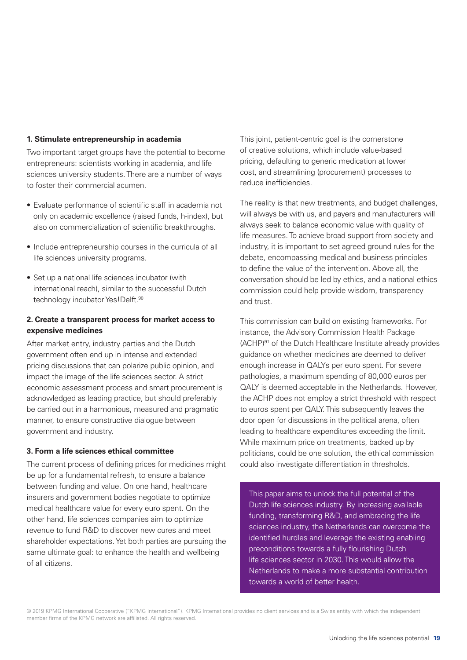## **1. Stimulate entrepreneurship in academia**

Two important target groups have the potential to become entrepreneurs: scientists working in academia, and life sciences university students. There are a number of ways to foster their commercial acumen.

- Evaluate performance of scientific staff in academia not only on academic excellence (raised funds, h-index), but also on commercialization of scientific breakthroughs.
- Include entrepreneurship courses in the curricula of all life sciences university programs.
- Set up a national life sciences incubator (with international reach), similar to the successful Dutch technology incubator Yes! Delft.<sup>90</sup>

# **2. Create a transparent process for market access to expensive medicines**

After market entry, industry parties and the Dutch government often end up in intense and extended pricing discussions that can polarize public opinion, and impact the image of the life sciences sector. A strict economic assessment process and smart procurement is acknowledged as leading practice, but should preferably be carried out in a harmonious, measured and pragmatic manner, to ensure constructive dialogue between government and industry.

# **3. Form a life sciences ethical committee**

The current process of defining prices for medicines might be up for a fundamental refresh, to ensure a balance between funding and value. On one hand, healthcare insurers and government bodies negotiate to optimize medical healthcare value for every euro spent. On the other hand, life sciences companies aim to optimize revenue to fund R&D to discover new cures and meet shareholder expectations. Yet both parties are pursuing the same ultimate goal: to enhance the health and wellbeing of all citizens.

This joint, patient-centric goal is the cornerstone of creative solutions, which include value-based pricing, defaulting to generic medication at lower cost, and streamlining (procurement) processes to reduce inefficiencies.

The reality is that new treatments, and budget challenges, will always be with us, and payers and manufacturers will always seek to balance economic value with quality of life measures. To achieve broad support from society and industry, it is important to set agreed ground rules for the debate, encompassing medical and business principles to define the value of the intervention. Above all, the conversation should be led by ethics, and a national ethics commission could help provide wisdom, transparency and trust.

This commission can build on existing frameworks. For instance, the Advisory Commission Health Package (ACHP)91 of the Dutch Healthcare Institute already provides guidance on whether medicines are deemed to deliver enough increase in QALYs per euro spent. For severe pathologies, a maximum spending of 80,000 euros per QALY is deemed acceptable in the Netherlands. However, the ACHP does not employ a strict threshold with respect to euros spent per QALY. This subsequently leaves the door open for discussions in the political arena, often leading to healthcare expenditures exceeding the limit. While maximum price on treatments, backed up by politicians, could be one solution, the ethical commission could also investigate differentiation in thresholds.

This paper aims to unlock the full potential of the Dutch life sciences industry. By increasing available funding, transforming R&D, and embracing the life sciences industry, the Netherlands can overcome the identified hurdles and leverage the existing enabling preconditions towards a fully flourishing Dutch life sciences sector in 2030. This would allow the Netherlands to make a more substantial contribution towards a world of better health.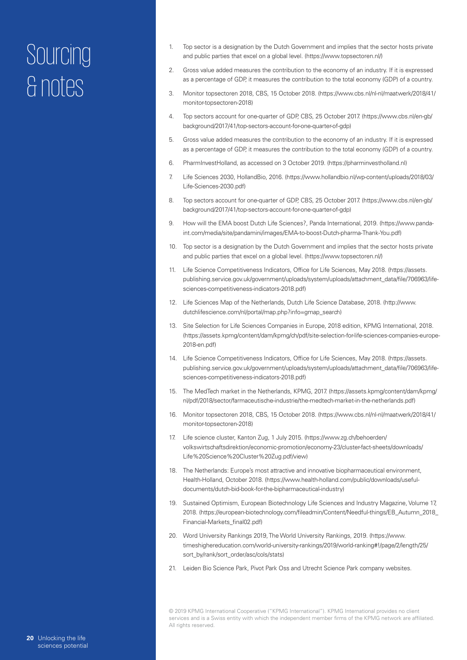- 1. Top sector is a designation by the Dutch Government and implies that the sector hosts private and public parties that excel on a global level. (https://www.topsectoren.nl/)
- 2. Gross value added measures the contribution to the economy of an industry. If it is expressed as a percentage of GDP, it measures the contribution to the total economy (GDP) of a country.
- 3. Monitor topsectoren 2018, CBS, 15 October 2018. (https://www.cbs.nl/nl-nl/maatwerk/2018/41/ monitor-topsectoren-2018)
- 4. Top sectors account for one-quarter of GDP, CBS, 25 October 2017. (https://www.cbs.nl/en-gb/ background/2017/41/top-sectors-account-for-one-quarter-of-gdp)
- 5. Gross value added measures the contribution to the economy of an industry. If it is expressed as a percentage of GDP, it measures the contribution to the total economy (GDP) of a country.
- 6. PharmInvestHolland, as accessed on 3 October 2019. (https://pharminvestholland.nl)
- 7. Life Sciences 2030, HollandBio, 2016. (https://www.hollandbio.nl/wp-content/uploads/2018/03/ Life-Sciences-2030.pdf)
- 8. Top sectors account for one-quarter of GDP, CBS, 25 October 2017. (https://www.cbs.nl/en-gb/ background/2017/41/top-sectors-account-for-one-quarter-of-gdp)
- 9. How will the EMA boost Dutch Life Sciences?, Panda International, 2019. (https://www.pandaint.com/media/site/pandamini/images/EMA-to-boost-Dutch-pharma-Thank-You.pdf)
- 10. Top sector is a designation by the Dutch Government and implies that the sector hosts private and public parties that excel on a global level. (https://www.topsectoren.nl/)
- 11. Life Science Competitiveness Indicators, Office for Life Sciences, May 2018. (https://assets. publishing.service.gov.uk/government/uploads/system/uploads/attachment\_data/file/706963/lifesciences-competitiveness-indicators-2018.pdf)
- 12. Life Sciences Map of the Netherlands, Dutch Life Science Database, 2018. (http://www. dutchlifescience.com/nl/portal/map.php?info=gmap\_search)
- 13. Site Selection for Life Sciences Companies in Europe, 2018 edition, KPMG International, 2018. (https://assets.kpmg/content/dam/kpmg/ch/pdf/site-selection-for-life-sciences-companies-europe-2018-en.pdf)
- 14. Life Science Competitiveness Indicators, Office for Life Sciences, May 2018. (https://assets. publishing.service.gov.uk/government/uploads/system/uploads/attachment\_data/file/706963/lifesciences-competitiveness-indicators-2018.pdf)
- 15. The MedTech market in the Netherlands, KPMG, 2017. (https://assets.kpmg/content/dam/kpmg/ nl/pdf/2018/sector/farmaceutische-industrie/the-medtech-market-in-the-netherlands.pdf)
- 16. Monitor topsectoren 2018, CBS, 15 October 2018. (https://www.cbs.nl/nl-nl/maatwerk/2018/41/ monitor-topsectoren-2018)
- 17. Life science cluster, Kanton Zug, 1 July 2015. (https://www.zg.ch/behoerden/ volkswirtschaftsdirektion/economic-promotion/economy-23/cluster-fact-sheets/downloads/ Life%20Science%20Cluster%20Zug.pdf/view)
- 18. The Netherlands: Europe's most attractive and innovative biopharmaceutical environment, Health-Holland, October 2018. (https://www.health-holland.com/public/downloads/usefuldocuments/dutch-bid-book-for-the-bipharmaceutical-industry)
- 19. Sustained Optimism, European Biotechnology Life Sciences and Industry Magazine, Volume 17, 2018. (https://european-biotechnology.com/fileadmin/Content/Needful-things/EB\_Autumn\_2018\_ Financial-Markets\_final02.pdf)
- 20. Word University Rankings 2019, The World University Rankings, 2019. (https://www. timeshighereducation.com/world-university-rankings/2019/world-ranking#!/page/2/length/25/ sort\_by/rank/sort\_order/asc/cols/stats)
- 21. Leiden Bio Science Park, Pivot Park Oss and Utrecht Science Park company websites.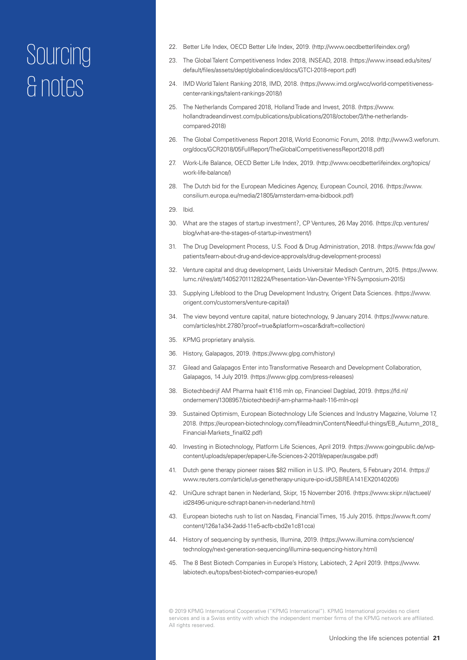- 22. Better Life Index, OECD Better Life Index, 2019. (http://www.oecdbetterlifeindex.org/)
- 23. The Global Talent Competitiveness Index 2018, INSEAD, 2018. (https://www.insead.edu/sites/ default/files/assets/dept/globalindices/docs/GTCI-2018-report.pdf)
- 24. IMD World Talent Ranking 2018, IMD, 2018. (https://www.imd.org/wcc/world-competitivenesscenter-rankings/talent-rankings-2018/)
- 25. The Netherlands Compared 2018, Holland Trade and Invest, 2018. (https://www. hollandtradeandinvest.com/publications/publications/2018/october/3/the-netherlandscompared-2018)
- 26. The Global Competitiveness Report 2018, World Economic Forum, 2018. (http://www3.weforum. org/docs/GCR2018/05FullReport/TheGlobalCompetitivenessReport2018.pdf)
- 27. Work-Life Balance, OECD Better Life Index, 2019. (http://www.oecdbetterlifeindex.org/topics/ work-life-balance/)
- 28. The Dutch bid for the European Medicines Agency, European Council, 2016. (https://www. consilium.europa.eu/media/21805/amsterdam-ema-bidbook.pdf)
- 29. Ibid.
- 30. What are the stages of startup investment?, CP Ventures, 26 May 2016. (https://cp.ventures/ blog/what-are-the-stages-of-startup-investment/)
- 31. The Drug Development Process, U.S. Food & Drug Administration, 2018. (https://www.fda.gov/ patients/learn-about-drug-and-device-approvals/drug-development-process)
- 32. Venture capital and drug development, Leids Universitair Medisch Centrum, 2015. (https://www. lumc.nl/res/att/140527011128224/Presentation-Van-Deventer-YFN-Symposium-2015)
- 33. Supplying Lifeblood to the Drug Development Industry, Origent Data Sciences. (https://www. origent.com/customers/venture-capital/)
- 34. The view beyond venture capital, nature biotechnology, 9 January 2014. (https://www.nature. com/articles/nbt.2780?proof=true&platform=oscar&draft=collection)
- 35. KPMG proprietary analysis.
- 36. History, Galapagos, 2019. (https://www.glpg.com/history)
- 37. Gilead and Galapagos Enter into Transformative Research and Development Collaboration, Galapagos, 14 July 2019. (https://www.glpg.com/press-releases)
- 38. Biotechbedrijf AM Pharma haalt €116 mln op, Financieel Dagblad, 2019. (https://fd.nl/ ondernemen/1308957/biotechbedrijf-am-pharma-haalt-116-mln-op)
- 39. Sustained Optimism, European Biotechnology Life Sciences and Industry Magazine, Volume 17, 2018. (https://european-biotechnology.com/fileadmin/Content/Needful-things/EB\_Autumn\_2018\_ Financial-Markets\_final02.pdf)
- 40. Investing in Biotechnology, Platform Life Sciences, April 2019. (https://www.goingpublic.de/wpcontent/uploads/epaper/epaper-Life-Sciences-2-2019/epaper/ausgabe.pdf)
- 41. Dutch gene therapy pioneer raises \$82 million in U.S. IPO, Reuters, 5 February 2014. (https:// www.reuters.com/article/us-genetherapy-uniqure-ipo-idUSBREA141EX20140205)
- 42. UniQure schrapt banen in Nederland, Skipr, 15 November 2016. (https://www.skipr.nl/actueel/ id28496-uniqure-schrapt-banen-in-nederland.html)
- 43. European biotechs rush to list on Nasdaq, Financial Times, 15 July 2015. (https://www.ft.com/ content/126a1a34-2add-11e5-acfb-cbd2e1c81cca)
- 44. History of sequencing by synthesis, Illumina, 2019. (https://www.illumina.com/science/ technology/next-generation-sequencing/illumina-sequencing-history.html)
- 45. The 8 Best Biotech Companies in Europe's History, Labiotech, 2 April 2019. (https://www. labiotech.eu/tops/best-biotech-companies-europe/)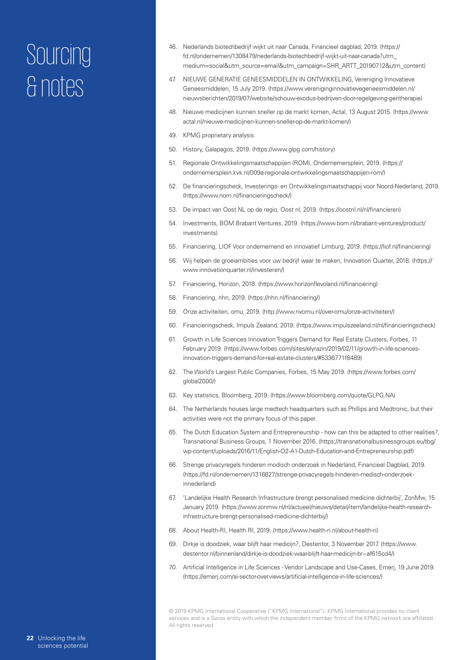- 46. Nederlands biotechbedrijf wijkt uit naar Canada, Financieel dagblad, 2019. (https:// fd.nl/ondernemen/1308479/nederlands-biotechbedrijf-wijkt-uit-naar-canada?utm\_ medium=social&utm\_source=email&utm\_campaign=SHR\_ARTT\_20190712&utm\_content)
- 47. NIEUWE GENERATIE GENEESMIDDELEN IN ONTWIKKELING, Vereniging Innovatieve Geneesmiddelen, 15 July 2019. (https://www.vereniginginnovatievegeneesmiddelen.nl/ nieuwsberichten/2019/07/website/schouw-exodus-bedrijven-door-regelgeving-gentherapie)
- 48. Nieuwe medicijnen kunnen sneller op de markt komen, Actal, 13 August 2015. (https://www. actal.nl/nieuwe-medicijnen-kunnen-sneller-op-de-markt-komen/)
- 49. KPMG proprietary analysis.
- 50. History, Galapagos, 2019. (https://www.glpg.com/history)
- 51. Regionale Ontwikkelingsmaatschappijen (ROM), Ondernemersplein, 2019. (https:// ondernemersplein.kvk.nl/009a-regionale-ontwikkelingsmaatschappijen-rom/)
- 52. De financieringscheck, Investerings- en Ontwikkelingsmaatschappij voor Noord-Nederland, 2019. (https://www.nom.nl/financieringscheck/)
- 53. De impact van Oost NL op de regio, Oost nl, 2019. (https://oostnl.nl/nl/financieren)
- 54. Investments, BOM Brabant Ventures, 2019. (https://www.bom.nl/brabant-ventures/product/ investments)
- 55. Financiering, LIOF Voor ondernemend en innovatief Limburg, 2019. (https://liof.nl/financiering)
- 56. Wij helpen de groeiambities voor uw bedrijf waar te maken, Innovation Quarter, 2018. (https:// www.innovationquarter.nl/investeren/)
- 57. Financiering, Horizon, 2018. (https://www.horizonflevoland.nl/financiering)
- 58. Financiering, nhn, 2019. (https://nhn.nl/financiering/)
- 59. Onze activiteiten, omu, 2019. (http://www.nvomu.nl/over-omu/onze-activiteiten/)
- 60. Financieringscheck, Impuls Zealand, 2019. (https://www.impulszeeland.nl/nl/financieringscheck)
- 61. Growth in Life Sciences Innovation Triggers Demand for Real Estate Clusters, Forbes, 11 February 2019. (https://www.forbes.com/sites/elyrazin/2019/02/11/growth-in-life-sciencesinnovation-triggers-demand-for-real-estate-clusters/#5336771f8489)
- 62. The World's Largest Public Companies, Forbes, 15 May 2019. (https://www.forbes.com/ global2000/)
- 63. Key statistics, Bloomberg, 2019. (https://www.bloomberg.com/quote/GLPG.NA)
- 64. The Netherlands houses large medtech headquarters such as Phillips and Medtronic, but their activities were not the primary focus of this paper.
- 65. The Dutch Education System and Entrepreneurship how can this be adapted to other realities?, Transnational Business Groups, 1 November 2016. (https://transnationalbusinessgroups.eu/tbg/ wp-content/uploads/2016/11/English-O2-A1-Dutch-Education-and-Entrepreneurship.pdf)
- 66. Strenge privacyregels hinderen modisch onderzoek in Nederland, Financieel Dagblad, 2019. (https.//fd.nl/ondernemen/1316827/strenge-privacyregels-hinderen-medisch-onderzoekinnederland)
- 67. 'Landelijke Health Research Infrastructure brengt personalised medicine dichterbij', ZonMw, 15 January 2019. (https://www.zonmw.nl/nl/actueel/nieuws/detail/item/landelijke-health-researchinfrastructure-brengt-personalised-medicine-dichterbij/)
- 68. About Health-RI, Health RI, 2019. (https://www.health-ri.nl/about-health-ri)
- 69. Dirkje is doodziek, waar blijft haar medicijn?, Destentor, 3 November 2017. (https://www. destentor.nl/binnenland/dirkje-is-doodziek-waar-blijft-haar-medicijn-br~af615cd4/)
- 70. Artificial Intelligence in Life Sciences Vendor Landscape and Use-Cases, Emerj, 19 June 2019. (https://emerj.com/ai-sector-overviews/artificial-intelligence-in-life-sciences/)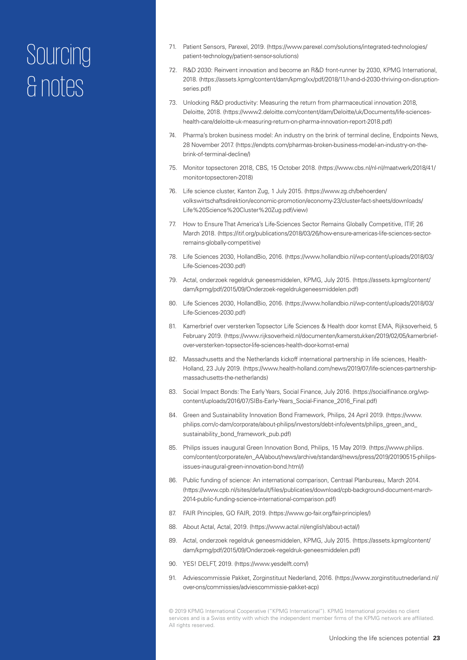- 71. Patient Sensors, Parexel, 2019. (https://www.parexel.com/solutions/integrated-technologies/ patient-technology/patient-sensor-solutions)
- 72. R&D 2030: Reinvent innovation and become an R&D front-runner by 2030, KPMG International, 2018. (https://assets.kpmg/content/dam/kpmg/xx/pdf/2018/11/r-and-d-2030-thriving-on-disruptionseries.pdf)
- 73. Unlocking R&D productivity: Measuring the return from pharmaceutical innovation 2018, Deloitte, 2018. (https://www2.deloitte.com/content/dam/Deloitte/uk/Documents/life-scienceshealth-care/deloitte-uk-measuring-return-on-pharma-innovation-report-2018.pdf)
- 74. Pharma's broken business model: An industry on the brink of terminal decline, Endpoints News, 28 November 2017. (https://endpts.com/pharmas-broken-business-model-an-industry-on-thebrink-of-terminal-decline/)
- 75. Monitor topsectoren 2018, CBS, 15 October 2018. (https://www.cbs.nl/nl-nl/maatwerk/2018/41/ monitor-topsectoren-2018)
- 76. Life science cluster, Kanton Zug, 1 July 2015. (https://www.zg.ch/behoerden/ volkswirtschaftsdirektion/economic-promotion/economy-23/cluster-fact-sheets/downloads/ Life%20Science%20Cluster%20Zug.pdf/view)
- 77. How to Ensure That America's Life-Sciences Sector Remains Globally Competitive, ITIF, 26 March 2018. (https://itif.org/publications/2018/03/26/how-ensure-americas-life-sciences-sectorremains-globally-competitive)
- 78. Life Sciences 2030, HollandBio, 2016. (https://www.hollandbio.nl/wp-content/uploads/2018/03/ Life-Sciences-2030.pdf)
- 79. Actal, onderzoek regeldruk geneesmiddelen, KPMG, July 2015. (https://assets.kpmg/content/ dam/kpmg/pdf/2015/09/Onderzoek-regeldrukgeneesmiddelen.pdf)
- 80. Life Sciences 2030, HollandBio, 2016. (https://www.hollandbio.nl/wp-content/uploads/2018/03/ Life-Sciences-2030.pdf)
- 81. Kamerbrief over versterken Topsector Life Sciences & Health door komst EMA, Rijksoverheid, 5 February 2019. (https://www.rijksoverheid.nl/documenten/kamerstukken/2019/02/05/kamerbriefover-versterken-topsector-life-sciences-health-door-komst-ema)
- 82. Massachusetts and the Netherlands kickoff international partnership in life sciences, Health-Holland, 23 July 2019. (https://www.health-holland.com/news/2019/07/life-sciences-partnershipmassachusetts-the-netherlands)
- 83. Social Impact Bonds: The Early Years, Social Finance, July 2016. (https://socialfinance.org/wpcontent/uploads/2016/07/SIBs-Early-Years\_Social-Finance\_2016\_Final.pdf)
- 84. Green and Sustainability Innovation Bond Framework, Philips, 24 April 2019. (https://www. philips.com/c-dam/corporate/about-philips/investors/debt-info/events/philips\_green\_and\_ sustainability\_bond\_framework\_pub.pdf)
- 85. Philips issues inaugural Green Innovation Bond, Philips, 15 May 2019. (https://www.philips. com/content/corporate/en\_AA/about/news/archive/standard/news/press/2019/20190515-philipsissues-inaugural-green-innovation-bond.html/)
- 86. Public funding of science: An international comparison, Centraal Planbureau, March 2014. (https://www.cpb.nl/sites/default/files/publicaties/download/cpb-background-document-march-2014-public-funding-science-international-comparison.pdf)
- 87. FAIR Principles, GO FAIR, 2019. (https://www.go-fair.org/fair-principles/)
- 88. About Actal, Actal, 2019. (https://www.actal.nl/english/about-actal/)
- 89. Actal, onderzoek regeldruk geneesmiddelen, KPMG, July 2015. (https://assets.kpmg/content/ dam/kpmg/pdf/2015/09/Onderzoek-regeldruk-geneesmiddelen.pdf)
- 90. YES! DELFT, 2019. (https://www.yesdelft.com/)
- 91. Adviescommissie Pakket, Zorginstituut Nederland, 2016. (https://www.zorginstituutnederland.nl/ over-ons/commissies/adviescommissie-pakket-acp)